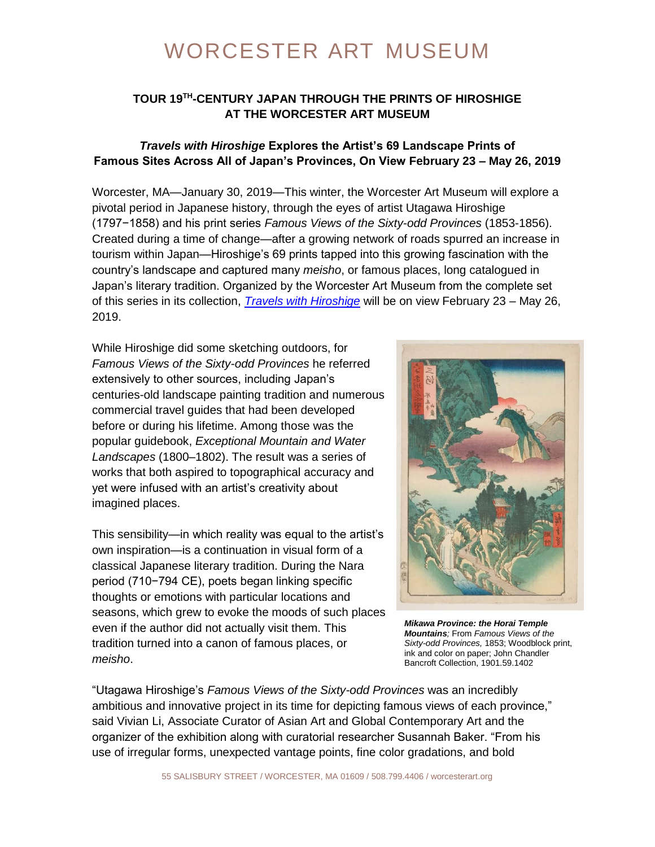### **TOUR 19TH -CENTURY JAPAN THROUGH THE PRINTS OF HIROSHIGE AT THE WORCESTER ART MUSEUM**

#### *Travels with Hiroshige* **Explores the Artist's 69 Landscape Prints of Famous Sites Across All of Japan's Provinces, On View February 23 – May 26, 2019**

Worcester, MA—January 30, 2019—This winter, the Worcester Art Museum will explore a pivotal period in Japanese history, through the eyes of artist Utagawa Hiroshige (1797−1858) and his print series *Famous Views of the Sixty-odd Provinces* (1853-1856). Created during a time of change—after a growing network of roads spurred an increase in tourism within Japan—Hiroshige's 69 prints tapped into this growing fascination with the country's landscape and captured many *meisho*, or famous places, long catalogued in Japan's literary tradition. Organized by the Worcester Art Museum from the complete set of this series in its collection, *[Travels with Hiroshige](https://www.worcesterart.org/exhibitions/hiroshige/)* will be on view February 23 – May 26, 2019.

While Hiroshige did some sketching outdoors, for *Famous Views of the Sixty-odd Provinces* he referred extensively to other sources, including Japan's centuries-old landscape painting tradition and numerous commercial travel guides that had been developed before or during his lifetime. Among those was the popular guidebook, *Exceptional Mountain and Water Landscapes* (1800–1802). The result was a series of works that both aspired to topographical accuracy and yet were infused with an artist's creativity about imagined places.

This sensibility—in which reality was equal to the artist's own inspiration—is a continuation in visual form of a classical Japanese literary tradition. During the Nara period (710−794 CE), poets began linking specific thoughts or emotions with particular locations and seasons, which grew to evoke the moods of such places even if the author did not actually visit them. This tradition turned into a canon of famous places, or *meisho*.



*Mikawa Province: the Horai Temple Mountains;* From *Famous Views of the Sixty-odd Provinces,* 1853; Woodblock print, ink and color on paper; John Chandler Bancroft Collection, 1901.59.1402

"Utagawa Hiroshige's *Famous Views of the Sixty-odd Provinces* was an incredibly ambitious and innovative project in its time for depicting famous views of each province," said Vivian Li, Associate Curator of Asian Art and Global Contemporary Art and the organizer of the exhibition along with curatorial researcher Susannah Baker. "From his use of irregular forms, unexpected vantage points, fine color gradations, and bold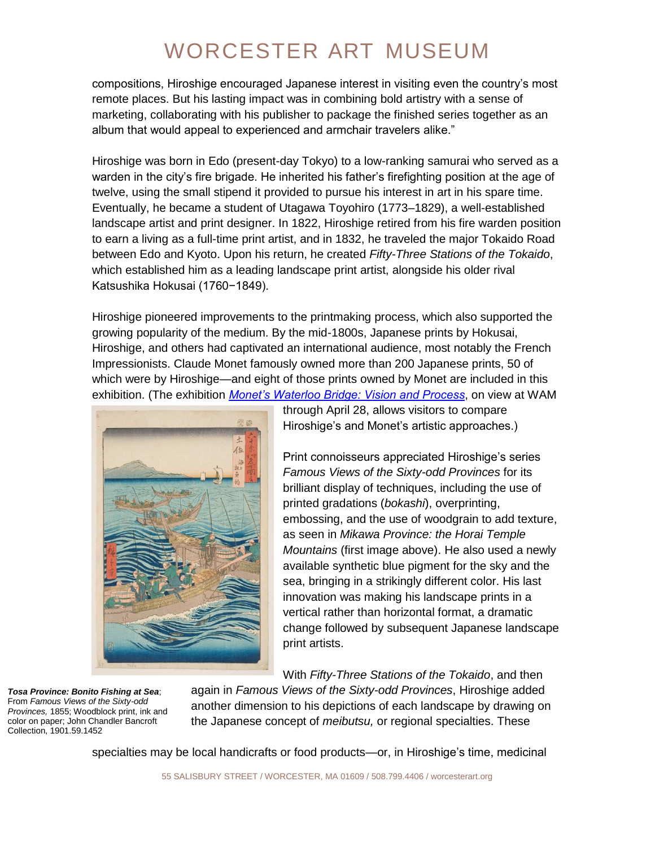compositions, Hiroshige encouraged Japanese interest in visiting even the country's most remote places. But his lasting impact was in combining bold artistry with a sense of marketing, collaborating with his publisher to package the finished series together as an album that would appeal to experienced and armchair travelers alike."

Hiroshige was born in Edo (present-day Tokyo) to a low-ranking samurai who served as a warden in the city's fire brigade. He inherited his father's firefighting position at the age of twelve, using the small stipend it provided to pursue his interest in art in his spare time. Eventually, he became a student of Utagawa Toyohiro (1773–1829), a well-established landscape artist and print designer. In 1822, Hiroshige retired from his fire warden position to earn a living as a full-time print artist, and in 1832, he traveled the major Tokaido Road between Edo and Kyoto. Upon his return, he created *Fifty-Three Stations of the Tokaido*, which established him as a leading landscape print artist, alongside his older rival Katsushika Hokusai (1760−1849).

Hiroshige pioneered improvements to the printmaking process, which also supported the growing popularity of the medium. By the mid-1800s, Japanese prints by Hokusai, Hiroshige, and others had captivated an international audience, most notably the French Impressionists. Claude Monet famously owned more than 200 Japanese prints, 50 of which were by Hiroshige—and eight of those prints owned by Monet are included in this exhibition. (The exhibition *[Monet's Waterloo Bridge: Vision and Process](https://www.worcesterart.org/exhibitions/waterloo-bridge/)*, on view at WAM



through April 28, allows visitors to compare Hiroshige's and Monet's artistic approaches.)

Print connoisseurs appreciated Hiroshige's series *Famous Views of the Sixty-odd Provinces* for its brilliant display of techniques, including the use of printed gradations (*bokashi*), overprinting, embossing, and the use of woodgrain to add texture, as seen in *Mikawa Province: the Horai Temple Mountains* (first image above). He also used a newly available synthetic blue pigment for the sky and the sea, bringing in a strikingly different color. His last innovation was making his landscape prints in a vertical rather than horizontal format, a dramatic change followed by subsequent Japanese landscape print artists.

With *Fifty-Three Stations of the Tokaido*, and then

*Tosa Province: Bonito Fishing at Sea*; From *Famous Views of the Sixty-odd Provinces,* 1855; Woodblock print, ink and color on paper; John Chandler Bancroft Collection, 1901.59.1452

again in *Famous Views of the Sixty-odd Provinces*, Hiroshige added another dimension to his depictions of each landscape by drawing on the Japanese concept of *meibutsu,* or regional specialties. These

specialties may be local handicrafts or food products—or, in Hiroshige's time, medicinal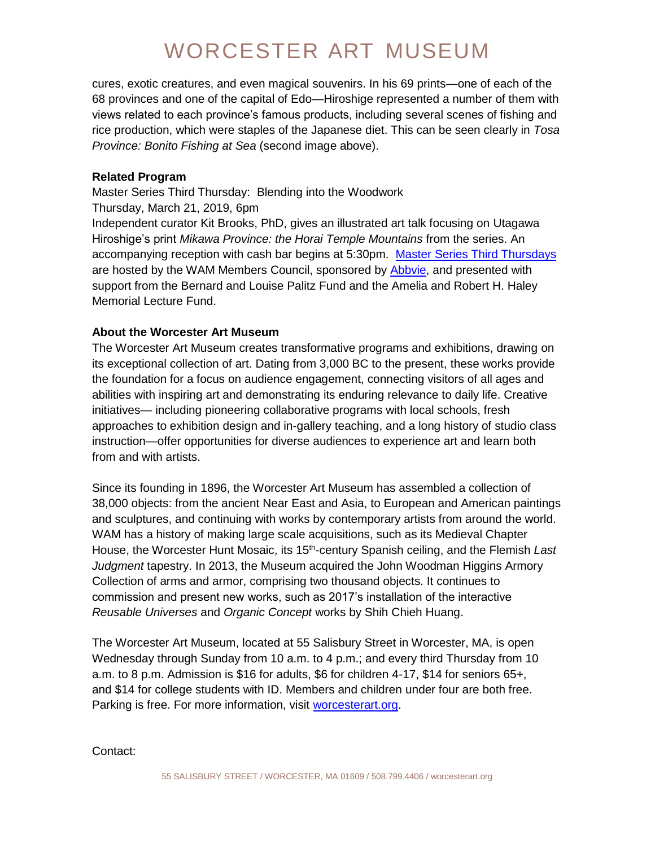cures, exotic creatures, and even magical souvenirs. In his 69 prints—one of each of the 68 provinces and one of the capital of Edo—Hiroshige represented a number of them with views related to each province's famous products, including several scenes of fishing and rice production, which were staples of the Japanese diet. This can be seen clearly in *Tosa Province: Bonito Fishing at Sea* (second image above).

#### **Related Program**

Master Series Third Thursday: Blending into the Woodwork Thursday, March 21, 2019, 6pm

Independent curator Kit Brooks, PhD, gives an illustrated art talk focusing on Utagawa Hiroshige's print *Mikawa Province: the Horai Temple Mountains* from the series. An accompanying reception with cash bar begins at 5:30pm. [Master Series Third Thursdays](https://www.worcesterart.org/events/master-series/) are hosted by the WAM Members Council, sponsored by [Abbvie,](https://www.abbvie.com/) and presented with support from the Bernard and Louise Palitz Fund and the Amelia and Robert H. Haley Memorial Lecture Fund.

### **About the Worcester Art Museum**

The Worcester Art Museum creates transformative programs and exhibitions, drawing on its exceptional collection of art. Dating from 3,000 BC to the present, these works provide the foundation for a focus on audience engagement, connecting visitors of all ages and abilities with inspiring art and demonstrating its enduring relevance to daily life. Creative initiatives— including pioneering collaborative programs with local schools, fresh approaches to exhibition design and in-gallery teaching, and a long history of studio class instruction—offer opportunities for diverse audiences to experience art and learn both from and with artists.

Since its founding in 1896, the Worcester Art Museum has assembled a collection of 38,000 objects: from the ancient Near East and Asia, to European and American paintings and sculptures, and continuing with works by contemporary artists from around the world. WAM has a history of making large scale acquisitions, such as its Medieval Chapter House, the Worcester Hunt Mosaic, its 15<sup>th</sup>-century Spanish ceiling, and the Flemish Last *Judgment* tapestry. In 2013, the Museum acquired the John Woodman Higgins Armory Collection of arms and armor, comprising two thousand objects. It continues to commission and present new works, such as 2017's installation of the interactive *Reusable Universes* and *Organic Concept* works by Shih Chieh Huang.

The Worcester Art Museum, located at 55 Salisbury Street in Worcester, MA, is open Wednesday through Sunday from 10 a.m. to 4 p.m.; and every third Thursday from 10 a.m. to 8 p.m. Admission is \$16 for adults, \$6 for children 4-17, \$14 for seniors 65+, and \$14 for college students with ID. Members and children under four are both free. Parking is free. For more information, visit [worcesterart.org.](https://www.worcesterart.org/)

Contact: